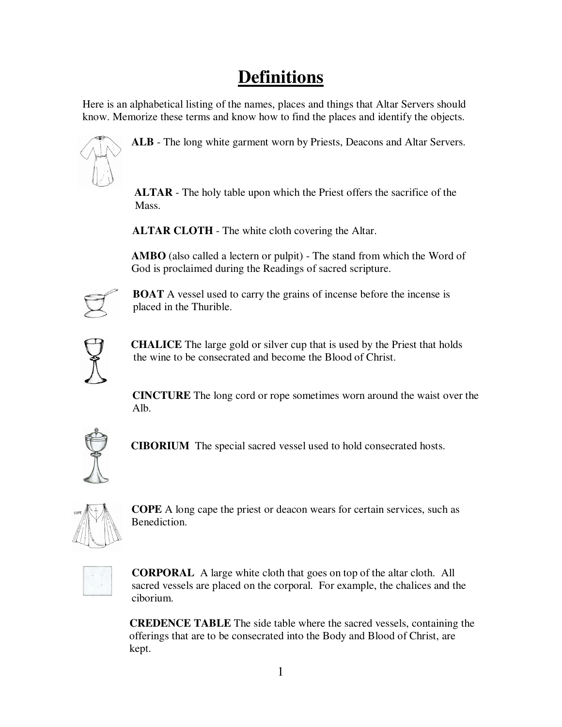## **Definitions**

Here is an alphabetical listing of the names, places and things that Altar Servers should know. Memorize these terms and know how to find the places and identify the objects.



**ALB** - The long white garment worn by Priests, Deacons and Altar Servers.

 **ALTAR** - The holy table upon which the Priest offers the sacrifice of the Mass.

 **ALTAR CLOTH** - The white cloth covering the Altar.

**AMBO** (also called a lectern or pulpit) - The stand from which the Word of God is proclaimed during the Readings of sacred scripture.



**BOAT** A vessel used to carry the grains of incense before the incense is placed in the Thurible.



 **CHALICE** The large gold or silver cup that is used by the Priest that holds the wine to be consecrated and become the Blood of Christ.

 **CINCTURE** The long cord or rope sometimes worn around the waist over the Alb.



 **CIBORIUM** The special sacred vessel used to hold consecrated hosts.



**COPE** A long cape the priest or deacon wears for certain services, such as Benediction.



 **CORPORAL** A large white cloth that goes on top of the altar cloth. All sacred vessels are placed on the corporal. For example, the chalices and the ciborium.

 **CREDENCE TABLE** The side table where the sacred vessels, containing the offerings that are to be consecrated into the Body and Blood of Christ, are kept.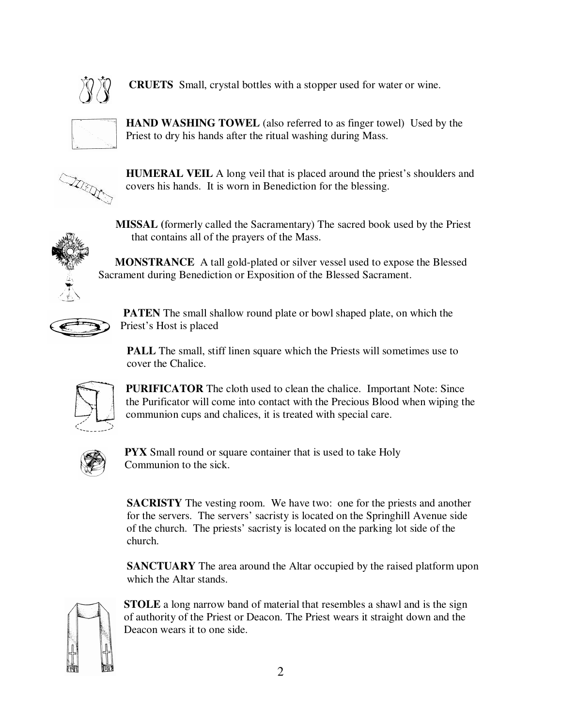

 **CRUETS** Small, crystal bottles with a stopper used for water or wine.



**HAND WASHING TOWEL** (also referred to as finger towel) Used by the Priest to dry his hands after the ritual washing during Mass.



**HUMERAL VEIL** A long veil that is placed around the priest's shoulders and covers his hands. It is worn in Benediction for the blessing.



**MISSAL (**formerly called the Sacramentary) The sacred book used by the Priest that contains all of the prayers of the Mass.

 **MONSTRANCE** A tall gold-plated or silver vessel used to expose the Blessed Sacrament during Benediction or Exposition of the Blessed Sacrament.



 **PATEN** The small shallow round plate or bowl shaped plate, on which the Priest's Host is placed

**PALL** The small, stiff linen square which the Priests will sometimes use to cover the Chalice.



**PURIFICATOR** The cloth used to clean the chalice. Important Note: Since the Purificator will come into contact with the Precious Blood when wiping the communion cups and chalices, it is treated with special care.



 **PYX** Small round or square container that is used to take Holy Communion to the sick.

**SACRISTY** The vesting room. We have two: one for the priests and another for the servers. The servers' sacristy is located on the Springhill Avenue side of the church. The priests' sacristy is located on the parking lot side of the church.

**SANCTUARY** The area around the Altar occupied by the raised platform upon which the Altar stands.



**STOLE** a long narrow band of material that resembles a shawl and is the sign of authority of the Priest or Deacon. The Priest wears it straight down and the Deacon wears it to one side.